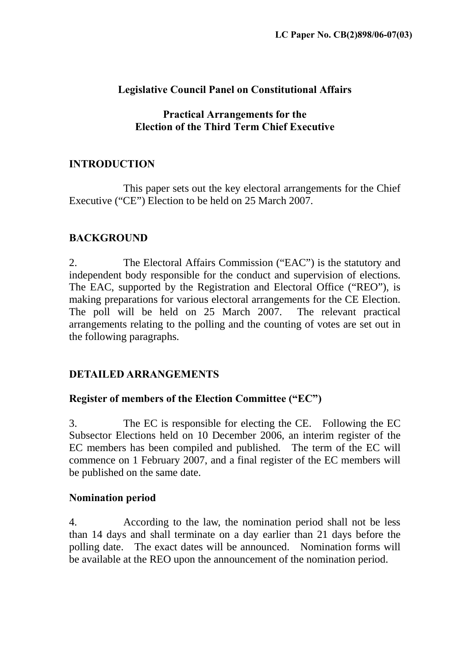### **Legislative Council Panel on Constitutional Affairs**

### **Practical Arrangements for the Election of the Third Term Chief Executive**

# **INTRODUCTION**

 This paper sets out the key electoral arrangements for the Chief Executive ("CE") Election to be held on 25 March 2007.

# **BACKGROUND**

2. The Electoral Affairs Commission ("EAC") is the statutory and independent body responsible for the conduct and supervision of elections. The EAC, supported by the Registration and Electoral Office ("REO"), is making preparations for various electoral arrangements for the CE Election. The poll will be held on 25 March 2007. The relevant practical arrangements relating to the polling and the counting of votes are set out in the following paragraphs.

# **DETAILED ARRANGEMENTS**

# **Register of members of the Election Committee ("EC")**

3. The EC is responsible for electing the CE. Following the EC Subsector Elections held on 10 December 2006, an interim register of the EC members has been compiled and published. The term of the EC will commence on 1 February 2007, and a final register of the EC members will be published on the same date.

# **Nomination period**

4. According to the law, the nomination period shall not be less than 14 days and shall terminate on a day earlier than 21 days before the polling date. The exact dates will be announced. Nomination forms will be available at the REO upon the announcement of the nomination period.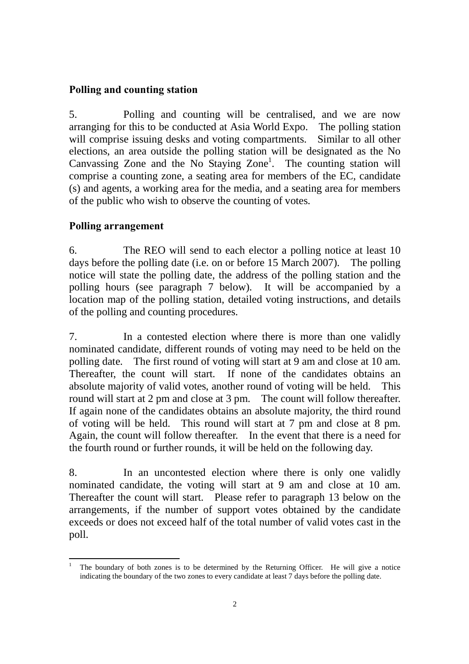### **Polling and counting station**

5. Polling and counting will be centralised, and we are now arranging for this to be conducted at Asia World Expo. The polling station will comprise issuing desks and voting compartments. Similar to all other elections, an area outside the polling station will be designated as the No Canvassing Zone and the No Staying Zone<sup>1</sup>. The counting station will comprise a counting zone, a seating area for members of the EC, candidate (s) and agents, a working area for the media, and a seating area for members of the public who wish to observe the counting of votes.

#### **Polling arrangement**

6. The REO will send to each elector a polling notice at least 10 days before the polling date (i.e. on or before 15 March 2007). The polling notice will state the polling date, the address of the polling station and the polling hours (see paragraph 7 below). It will be accompanied by a location map of the polling station, detailed voting instructions, and details of the polling and counting procedures.

7. In a contested election where there is more than one validly nominated candidate, different rounds of voting may need to be held on the polling date. The first round of voting will start at 9 am and close at 10 am. Thereafter, the count will start. If none of the candidates obtains an absolute majority of valid votes, another round of voting will be held. This round will start at 2 pm and close at 3 pm. The count will follow thereafter. If again none of the candidates obtains an absolute majority, the third round of voting will be held. This round will start at 7 pm and close at 8 pm. Again, the count will follow thereafter. In the event that there is a need for the fourth round or further rounds, it will be held on the following day.

8. In an uncontested election where there is only one validly nominated candidate, the voting will start at 9 am and close at 10 am. Thereafter the count will start. Please refer to paragraph 13 below on the arrangements, if the number of support votes obtained by the candidate exceeds or does not exceed half of the total number of valid votes cast in the poll.

<sup>-</sup>1 The boundary of both zones is to be determined by the Returning Officer. He will give a notice indicating the boundary of the two zones to every candidate at least 7 days before the polling date.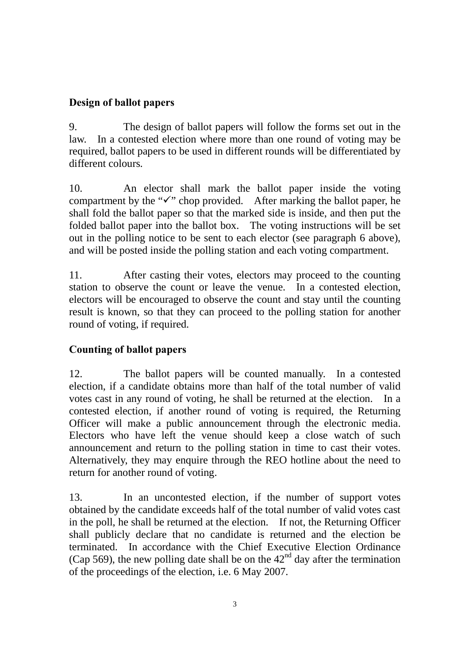### **Design of ballot papers**

9. The design of ballot papers will follow the forms set out in the law. In a contested election where more than one round of voting may be required, ballot papers to be used in different rounds will be differentiated by different colours.

10. An elector shall mark the ballot paper inside the voting compartment by the " $\checkmark$ " chop provided. After marking the ballot paper, he shall fold the ballot paper so that the marked side is inside, and then put the folded ballot paper into the ballot box. The voting instructions will be set out in the polling notice to be sent to each elector (see paragraph 6 above), and will be posted inside the polling station and each voting compartment.

11. After casting their votes, electors may proceed to the counting station to observe the count or leave the venue. In a contested election, electors will be encouraged to observe the count and stay until the counting result is known, so that they can proceed to the polling station for another round of voting, if required.

# **Counting of ballot papers**

12. The ballot papers will be counted manually. In a contested election, if a candidate obtains more than half of the total number of valid votes cast in any round of voting, he shall be returned at the election. In a contested election, if another round of voting is required, the Returning Officer will make a public announcement through the electronic media. Electors who have left the venue should keep a close watch of such announcement and return to the polling station in time to cast their votes. Alternatively, they may enquire through the REO hotline about the need to return for another round of voting.

13. In an uncontested election, if the number of support votes obtained by the candidate exceeds half of the total number of valid votes cast in the poll, he shall be returned at the election. If not, the Returning Officer shall publicly declare that no candidate is returned and the election be terminated. In accordance with the Chief Executive Election Ordinance (Cap 569), the new polling date shall be on the  $42<sup>nd</sup>$  day after the termination of the proceedings of the election, i.e. 6 May 2007.